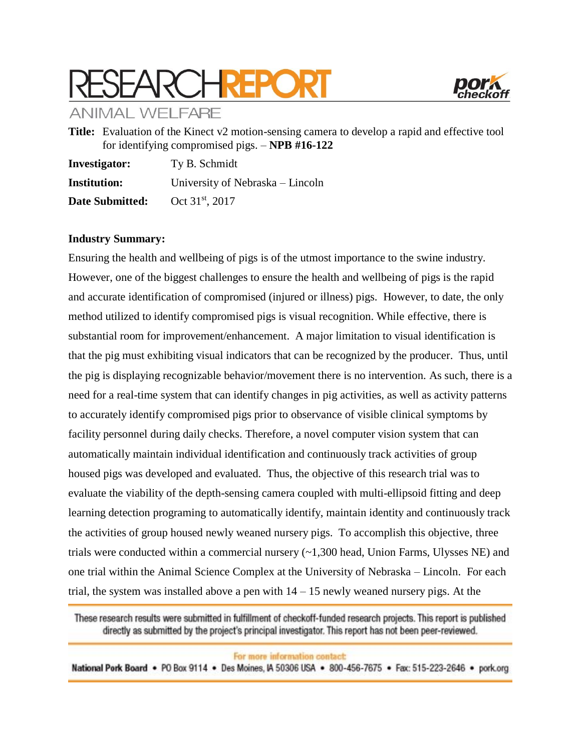# **ARCHREPORT**



**ANIMAL WELFARE** 

**Title:** Evaluation of the Kinect v2 motion-sensing camera to develop a rapid and effective tool for identifying compromised pigs. – **NPB #16-122**

| <b>Investigator:</b> | Ty B. Schmidt                    |  |  |  |  |
|----------------------|----------------------------------|--|--|--|--|
| <b>Institution:</b>  | University of Nebraska – Lincoln |  |  |  |  |
| Date Submitted:      | Oct 31 <sup>st</sup> , 2017      |  |  |  |  |

## **Industry Summary:**

Ensuring the health and wellbeing of pigs is of the utmost importance to the swine industry. However, one of the biggest challenges to ensure the health and wellbeing of pigs is the rapid and accurate identification of compromised (injured or illness) pigs. However, to date, the only method utilized to identify compromised pigs is visual recognition. While effective, there is substantial room for improvement/enhancement. A major limitation to visual identification is that the pig must exhibiting visual indicators that can be recognized by the producer. Thus, until the pig is displaying recognizable behavior/movement there is no intervention. As such, there is a need for a real-time system that can identify changes in pig activities, as well as activity patterns to accurately identify compromised pigs prior to observance of visible clinical symptoms by facility personnel during daily checks. Therefore, a novel computer vision system that can automatically maintain individual identification and continuously track activities of group housed pigs was developed and evaluated. Thus, the objective of this research trial was to evaluate the viability of the depth-sensing camera coupled with multi-ellipsoid fitting and deep learning detection programing to automatically identify, maintain identity and continuously track the activities of group housed newly weaned nursery pigs. To accomplish this objective, three trials were conducted within a commercial nursery  $(\sim 1,300$  head, Union Farms, Ulysses NE) and one trial within the Animal Science Complex at the University of Nebraska – Lincoln. For each trial, the system was installed above a pen with  $14 - 15$  newly weaned nursery pigs. At the

These research results were submitted in fulfillment of checkoff-funded research projects. This report is published directly as submitted by the project's principal investigator. This report has not been peer-reviewed.

For more information contact:

National Pork Board . PO Box 9114 . Des Moines, IA 50306 USA . 800-456-7675 . Fax: 515-223-2646 . pork.org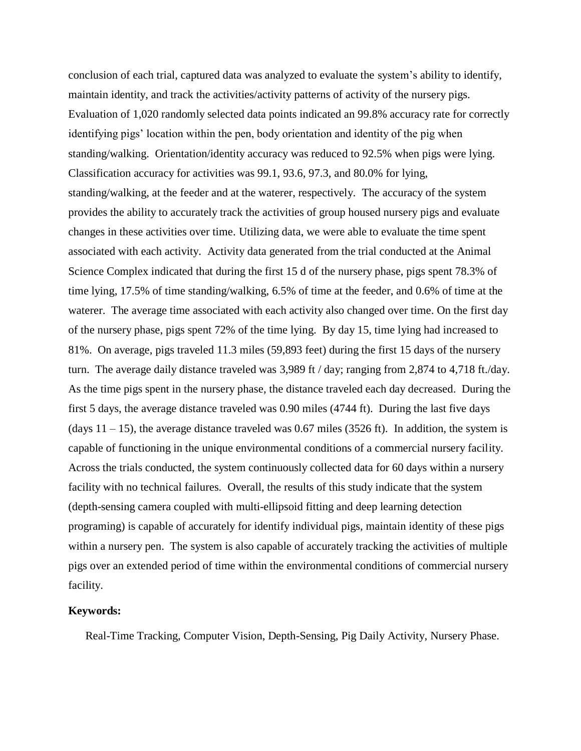conclusion of each trial, captured data was analyzed to evaluate the system's ability to identify, maintain identity, and track the activities/activity patterns of activity of the nursery pigs. Evaluation of 1,020 randomly selected data points indicated an 99.8% accuracy rate for correctly identifying pigs' location within the pen, body orientation and identity of the pig when standing/walking. Orientation/identity accuracy was reduced to 92.5% when pigs were lying. Classification accuracy for activities was 99.1, 93.6, 97.3, and 80.0% for lying, standing/walking, at the feeder and at the waterer, respectively. The accuracy of the system provides the ability to accurately track the activities of group housed nursery pigs and evaluate changes in these activities over time. Utilizing data, we were able to evaluate the time spent associated with each activity. Activity data generated from the trial conducted at the Animal Science Complex indicated that during the first 15 d of the nursery phase, pigs spent 78.3% of time lying, 17.5% of time standing/walking, 6.5% of time at the feeder, and 0.6% of time at the waterer. The average time associated with each activity also changed over time. On the first day of the nursery phase, pigs spent 72% of the time lying. By day 15, time lying had increased to 81%. On average, pigs traveled 11.3 miles (59,893 feet) during the first 15 days of the nursery turn. The average daily distance traveled was 3,989 ft / day; ranging from 2,874 to 4,718 ft./day. As the time pigs spent in the nursery phase, the distance traveled each day decreased. During the first 5 days, the average distance traveled was 0.90 miles (4744 ft). During the last five days (days  $11 - 15$ ), the average distance traveled was 0.67 miles (3526 ft). In addition, the system is capable of functioning in the unique environmental conditions of a commercial nursery facility. Across the trials conducted, the system continuously collected data for 60 days within a nursery facility with no technical failures. Overall, the results of this study indicate that the system (depth-sensing camera coupled with multi-ellipsoid fitting and deep learning detection programing) is capable of accurately for identify individual pigs, maintain identity of these pigs within a nursery pen. The system is also capable of accurately tracking the activities of multiple pigs over an extended period of time within the environmental conditions of commercial nursery facility.

### **Keywords:**

Real-Time Tracking, Computer Vision, Depth-Sensing, Pig Daily Activity, Nursery Phase.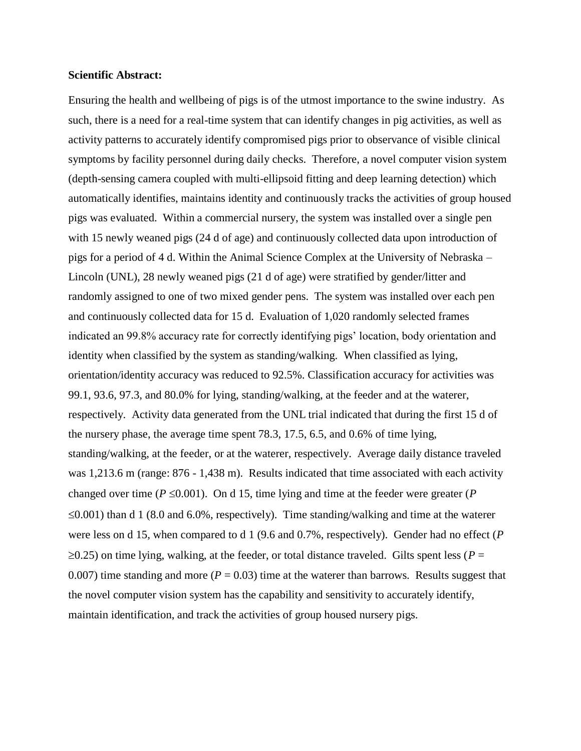#### **Scientific Abstract:**

Ensuring the health and wellbeing of pigs is of the utmost importance to the swine industry. As such, there is a need for a real-time system that can identify changes in pig activities, as well as activity patterns to accurately identify compromised pigs prior to observance of visible clinical symptoms by facility personnel during daily checks. Therefore, a novel computer vision system (depth-sensing camera coupled with multi-ellipsoid fitting and deep learning detection) which automatically identifies, maintains identity and continuously tracks the activities of group housed pigs was evaluated. Within a commercial nursery, the system was installed over a single pen with 15 newly weaned pigs (24 d of age) and continuously collected data upon introduction of pigs for a period of 4 d. Within the Animal Science Complex at the University of Nebraska – Lincoln (UNL), 28 newly weaned pigs (21 d of age) were stratified by gender/litter and randomly assigned to one of two mixed gender pens. The system was installed over each pen and continuously collected data for 15 d. Evaluation of 1,020 randomly selected frames indicated an 99.8% accuracy rate for correctly identifying pigs' location, body orientation and identity when classified by the system as standing/walking. When classified as lying, orientation/identity accuracy was reduced to 92.5%. Classification accuracy for activities was 99.1, 93.6, 97.3, and 80.0% for lying, standing/walking, at the feeder and at the waterer, respectively. Activity data generated from the UNL trial indicated that during the first 15 d of the nursery phase, the average time spent 78.3, 17.5, 6.5, and 0.6% of time lying, standing/walking, at the feeder, or at the waterer, respectively. Average daily distance traveled was 1,213.6 m (range: 876 - 1,438 m). Results indicated that time associated with each activity changed over time ( $P \le 0.001$ ). On d 15, time lying and time at the feeder were greater ( $P$  $\leq 0.001$ ) than d 1 (8.0 and 6.0%, respectively). Time standing/walking and time at the waterer were less on d 15, when compared to d 1 (9.6 and 0.7%, respectively). Gender had no effect (*P*  $\geq$ 0.25) on time lying, walking, at the feeder, or total distance traveled. Gilts spent less ( $P =$ 0.007) time standing and more ( $P = 0.03$ ) time at the waterer than barrows. Results suggest that the novel computer vision system has the capability and sensitivity to accurately identify, maintain identification, and track the activities of group housed nursery pigs.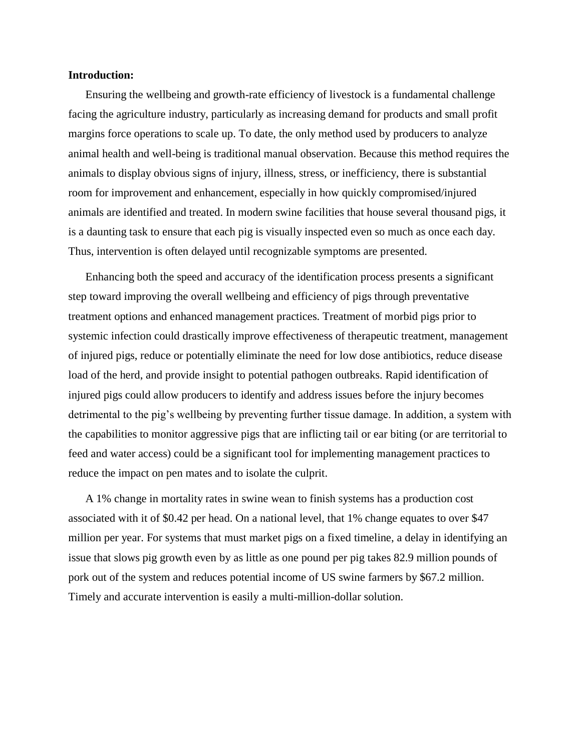#### **Introduction:**

Ensuring the wellbeing and growth-rate efficiency of livestock is a fundamental challenge facing the agriculture industry, particularly as increasing demand for products and small profit margins force operations to scale up. To date, the only method used by producers to analyze animal health and well-being is traditional manual observation. Because this method requires the animals to display obvious signs of injury, illness, stress, or inefficiency, there is substantial room for improvement and enhancement, especially in how quickly compromised/injured animals are identified and treated. In modern swine facilities that house several thousand pigs, it is a daunting task to ensure that each pig is visually inspected even so much as once each day. Thus, intervention is often delayed until recognizable symptoms are presented.

Enhancing both the speed and accuracy of the identification process presents a significant step toward improving the overall wellbeing and efficiency of pigs through preventative treatment options and enhanced management practices. Treatment of morbid pigs prior to systemic infection could drastically improve effectiveness of therapeutic treatment, management of injured pigs, reduce or potentially eliminate the need for low dose antibiotics, reduce disease load of the herd, and provide insight to potential pathogen outbreaks. Rapid identification of injured pigs could allow producers to identify and address issues before the injury becomes detrimental to the pig's wellbeing by preventing further tissue damage. In addition, a system with the capabilities to monitor aggressive pigs that are inflicting tail or ear biting (or are territorial to feed and water access) could be a significant tool for implementing management practices to reduce the impact on pen mates and to isolate the culprit.

A 1% change in mortality rates in swine wean to finish systems has a production cost associated with it of \$0.42 per head. On a national level, that 1% change equates to over \$47 million per year. For systems that must market pigs on a fixed timeline, a delay in identifying an issue that slows pig growth even by as little as one pound per pig takes 82.9 million pounds of pork out of the system and reduces potential income of US swine farmers by \$67.2 million. Timely and accurate intervention is easily a multi-million-dollar solution.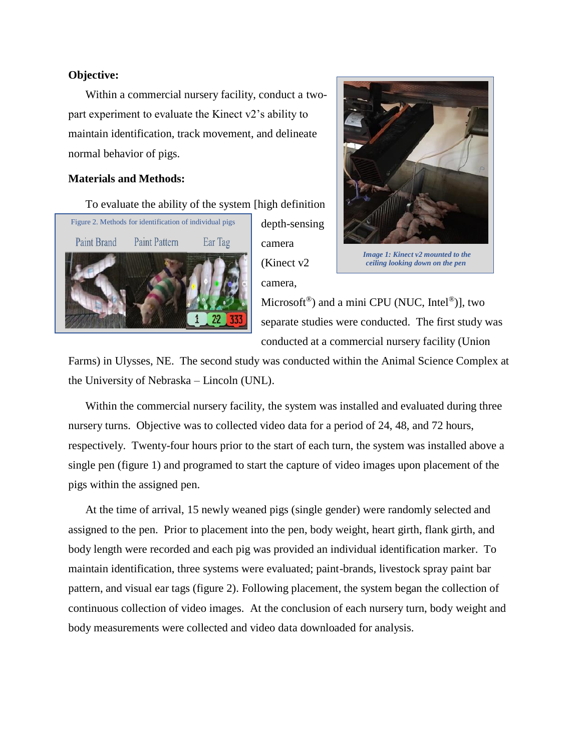## **Objective:**

Within a commercial nursery facility, conduct a twopart experiment to evaluate the Kinect v2's ability to maintain identification, track movement, and delineate normal behavior of pigs.

## **Materials and Methods:**

To evaluate the ability of the system [high definition



depth-sensing camera (Kinect v2 camera,



*Image 1: Kinect v2 mounted to the ceiling looking down on the pen*

Microsoft<sup>®</sup>) and a mini CPU (NUC, Intel®)], two separate studies were conducted. The first study was conducted at a commercial nursery facility (Union

Farms) in Ulysses, NE. The second study was conducted within the Animal Science Complex at the University of Nebraska – Lincoln (UNL).

Within the commercial nursery facility, the system was installed and evaluated during three nursery turns. Objective was to collected video data for a period of 24, 48, and 72 hours, respectively. Twenty-four hours prior to the start of each turn, the system was installed above a single pen (figure 1) and programed to start the capture of video images upon placement of the pigs within the assigned pen.

At the time of arrival, 15 newly weaned pigs (single gender) were randomly selected and assigned to the pen. Prior to placement into the pen, body weight, heart girth, flank girth, and body length were recorded and each pig was provided an individual identification marker. To maintain identification, three systems were evaluated; paint-brands, livestock spray paint bar pattern, and visual ear tags (figure 2). Following placement, the system began the collection of continuous collection of video images. At the conclusion of each nursery turn, body weight and body measurements were collected and video data downloaded for analysis.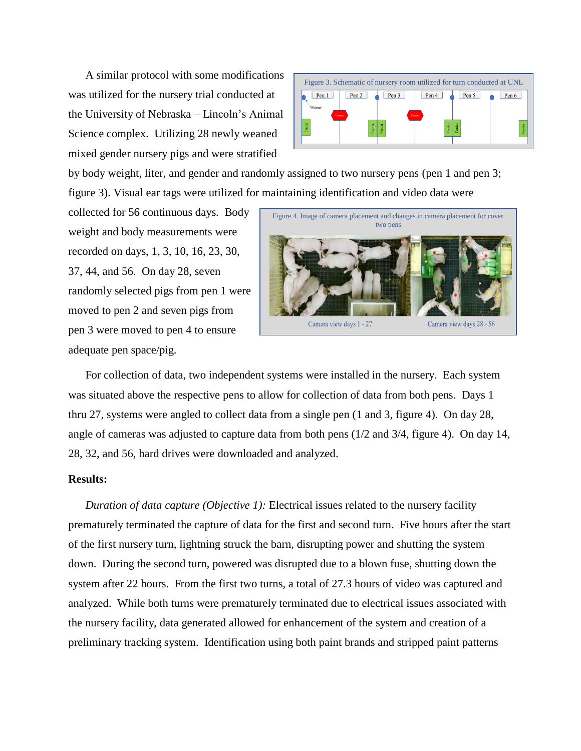A similar protocol with some modifications was utilized for the nursery trial conducted at the University of Nebraska – Lincoln's Animal Science complex. Utilizing 28 newly weaned mixed gender nursery pigs and were stratified



by body weight, liter, and gender and randomly assigned to two nursery pens (pen 1 and pen 3; figure 3). Visual ear tags were utilized for maintaining identification and video data were

collected for 56 continuous days. Body weight and body measurements were recorded on days, 1, 3, 10, 16, 23, 30, 37, 44, and 56. On day 28, seven randomly selected pigs from pen 1 were moved to pen 2 and seven pigs from pen 3 were moved to pen 4 to ensure adequate pen space/pig.



For collection of data, two independent systems were installed in the nursery. Each system was situated above the respective pens to allow for collection of data from both pens. Days 1 thru 27, systems were angled to collect data from a single pen (1 and 3, figure 4). On day 28, angle of cameras was adjusted to capture data from both pens (1/2 and 3/4, figure 4). On day 14, 28, 32, and 56, hard drives were downloaded and analyzed.

### **Results:**

*Duration of data capture (Objective 1):* Electrical issues related to the nursery facility prematurely terminated the capture of data for the first and second turn. Five hours after the start of the first nursery turn, lightning struck the barn, disrupting power and shutting the system down. During the second turn, powered was disrupted due to a blown fuse, shutting down the system after 22 hours. From the first two turns, a total of 27.3 hours of video was captured and analyzed. While both turns were prematurely terminated due to electrical issues associated with the nursery facility, data generated allowed for enhancement of the system and creation of a preliminary tracking system. Identification using both paint brands and stripped paint patterns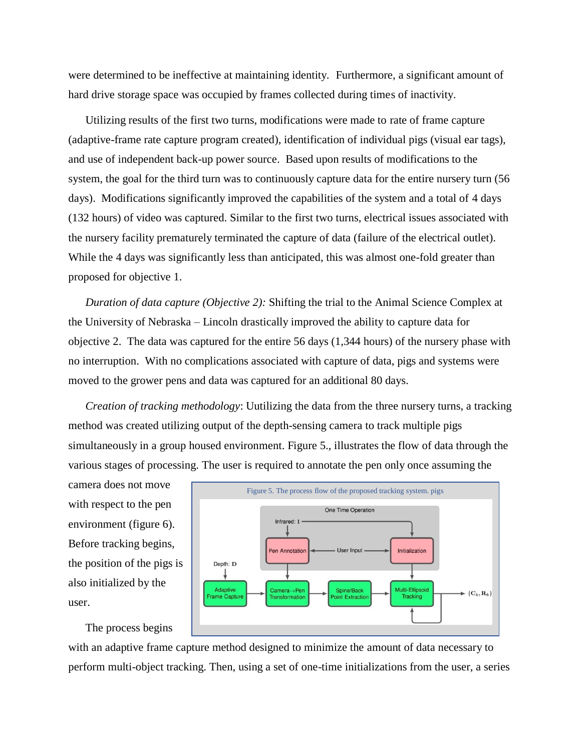were determined to be ineffective at maintaining identity. Furthermore, a significant amount of hard drive storage space was occupied by frames collected during times of inactivity.

Utilizing results of the first two turns, modifications were made to rate of frame capture (adaptive-frame rate capture program created), identification of individual pigs (visual ear tags), and use of independent back-up power source. Based upon results of modifications to the system, the goal for the third turn was to continuously capture data for the entire nursery turn (56 days). Modifications significantly improved the capabilities of the system and a total of 4 days (132 hours) of video was captured. Similar to the first two turns, electrical issues associated with the nursery facility prematurely terminated the capture of data (failure of the electrical outlet). While the 4 days was significantly less than anticipated, this was almost one-fold greater than proposed for objective 1.

*Duration of data capture (Objective 2):* Shifting the trial to the Animal Science Complex at the University of Nebraska – Lincoln drastically improved the ability to capture data for objective 2. The data was captured for the entire 56 days (1,344 hours) of the nursery phase with no interruption. With no complications associated with capture of data, pigs and systems were moved to the grower pens and data was captured for an additional 80 days.

*Creation of tracking methodology*: Uutilizing the data from the three nursery turns, a tracking method was created utilizing output of the depth-sensing camera to track multiple pigs simultaneously in a group housed environment. Figure 5., illustrates the flow of data through the various stages of processing. The user is required to annotate the pen only once assuming the

camera does not move with respect to the pen environment (figure 6). Before tracking begins, the position of the pigs is also initialized by the user.



The process begins

with an adaptive frame capture method designed to minimize the amount of data necessary to perform multi-object tracking. Then, using a set of one-time initializations from the user, a series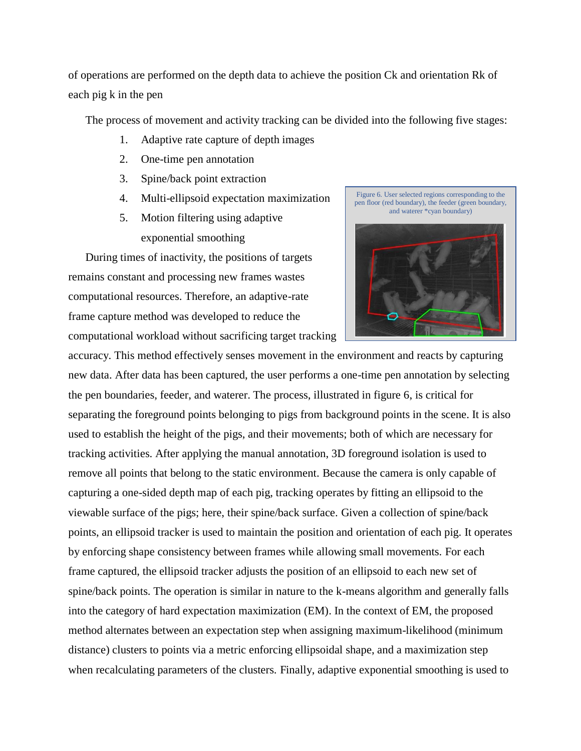of operations are performed on the depth data to achieve the position Ck and orientation Rk of each pig k in the pen

The process of movement and activity tracking can be divided into the following five stages:

- 1. Adaptive rate capture of depth images
- 2. One-time pen annotation
- 3. Spine/back point extraction
- 4. Multi-ellipsoid expectation maximization
- 5. Motion filtering using adaptive exponential smoothing

During times of inactivity, the positions of targets remains constant and processing new frames wastes computational resources. Therefore, an adaptive-rate frame capture method was developed to reduce the computational workload without sacrificing target tracking

Figure 6. User selected regions corresponding to the pen floor (red boundary), the feeder (green boundary, and waterer \*cyan boundary)



accuracy. This method effectively senses movement in the environment and reacts by capturing new data. After data has been captured, the user performs a one-time pen annotation by selecting the pen boundaries, feeder, and waterer. The process, illustrated in figure 6, is critical for separating the foreground points belonging to pigs from background points in the scene. It is also used to establish the height of the pigs, and their movements; both of which are necessary for tracking activities. After applying the manual annotation, 3D foreground isolation is used to remove all points that belong to the static environment. Because the camera is only capable of capturing a one-sided depth map of each pig, tracking operates by fitting an ellipsoid to the viewable surface of the pigs; here, their spine/back surface. Given a collection of spine/back points, an ellipsoid tracker is used to maintain the position and orientation of each pig. It operates by enforcing shape consistency between frames while allowing small movements. For each frame captured, the ellipsoid tracker adjusts the position of an ellipsoid to each new set of spine/back points. The operation is similar in nature to the k-means algorithm and generally falls into the category of hard expectation maximization (EM). In the context of EM, the proposed method alternates between an expectation step when assigning maximum-likelihood (minimum distance) clusters to points via a metric enforcing ellipsoidal shape, and a maximization step when recalculating parameters of the clusters. Finally, adaptive exponential smoothing is used to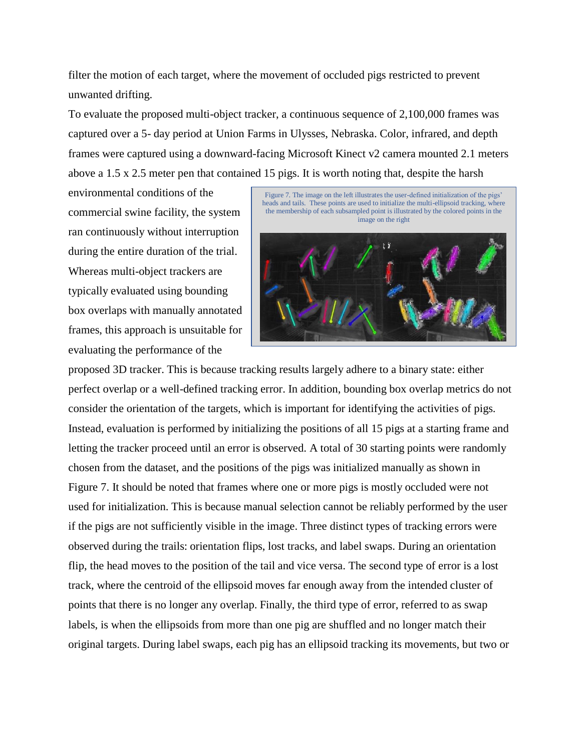filter the motion of each target, where the movement of occluded pigs restricted to prevent unwanted drifting.

To evaluate the proposed multi-object tracker, a continuous sequence of 2,100,000 frames was captured over a 5- day period at Union Farms in Ulysses, Nebraska. Color, infrared, and depth frames were captured using a downward-facing Microsoft Kinect v2 camera mounted 2.1 meters above a 1.5 x 2.5 meter pen that contained 15 pigs. It is worth noting that, despite the harsh

environmental conditions of the commercial swine facility, the system ran continuously without interruption during the entire duration of the trial. Whereas multi-object trackers are typically evaluated using bounding box overlaps with manually annotated frames, this approach is unsuitable for evaluating the performance of the



proposed 3D tracker. This is because tracking results largely adhere to a binary state: either perfect overlap or a well-defined tracking error. In addition, bounding box overlap metrics do not consider the orientation of the targets, which is important for identifying the activities of pigs. Instead, evaluation is performed by initializing the positions of all 15 pigs at a starting frame and letting the tracker proceed until an error is observed. A total of 30 starting points were randomly chosen from the dataset, and the positions of the pigs was initialized manually as shown in Figure 7. It should be noted that frames where one or more pigs is mostly occluded were not used for initialization. This is because manual selection cannot be reliably performed by the user if the pigs are not sufficiently visible in the image. Three distinct types of tracking errors were observed during the trails: orientation flips, lost tracks, and label swaps. During an orientation flip, the head moves to the position of the tail and vice versa. The second type of error is a lost track, where the centroid of the ellipsoid moves far enough away from the intended cluster of points that there is no longer any overlap. Finally, the third type of error, referred to as swap labels, is when the ellipsoids from more than one pig are shuffled and no longer match their original targets. During label swaps, each pig has an ellipsoid tracking its movements, but two or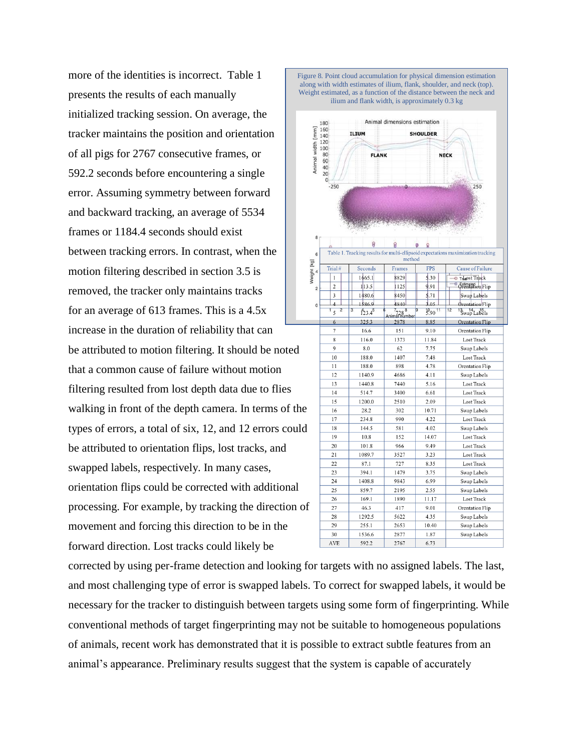more of the identities is incorrect. Table 1 presents the results of each manually initialized tracking session. On average, the tracker maintains the position and orientation of all pigs for 2767 consecutive frames, or 592.2 seconds before encountering a single error. Assuming symmetry between forward and backward tracking, an average of 5534 frames or 1184.4 seconds should exist between tracking errors. In contrast, when the motion filtering described in section 3.5 is removed, the tracker only maintains tracks for an average of 613 frames. This is a 4.5x increase in the duration of reliability that can be attributed to motion filtering. It should be noted that a common cause of failure without motion filtering resulted from lost depth data due to flies walking in front of the depth camera. In terms of the types of errors, a total of six, 12, and 12 errors could be attributed to orientation flips, lost tracks, and swapped labels, respectively. In many cases, orientation flips could be corrected with additional processing. For example, by tracking the direction of movement and forcing this direction to be in the forward direction. Lost tracks could likely be



corrected by using per-frame detection and looking for targets with no assigned labels. The last, and most challenging type of error is swapped labels. To correct for swapped labels, it would be necessary for the tracker to distinguish between targets using some form of fingerprinting. While conventional methods of target fingerprinting may not be suitable to homogeneous populations of animals, recent work has demonstrated that it is possible to extract subtle features from an animal's appearance. Preliminary results suggest that the system is capable of accurately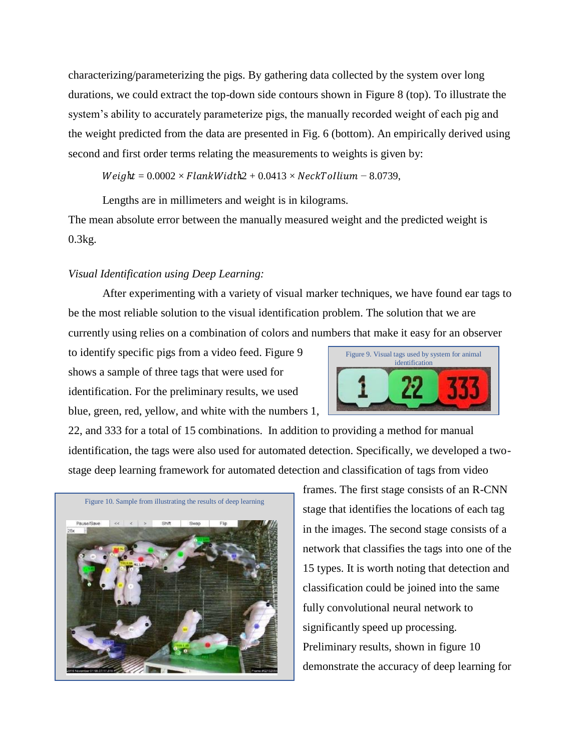characterizing/parameterizing the pigs. By gathering data collected by the system over long durations, we could extract the top-down side contours shown in Figure 8 (top). To illustrate the system's ability to accurately parameterize pigs, the manually recorded weight of each pig and the weight predicted from the data are presented in Fig. 6 (bottom). An empirically derived using second and first order terms relating the measurements to weights is given by:

 $Weight = 0.0002 \times FlatWidth2 + 0.0413 \times NextTollium - 8.0739,$ 

Lengths are in millimeters and weight is in kilograms.

The mean absolute error between the manually measured weight and the predicted weight is 0.3kg.

### *Visual Identification using Deep Learning:*

After experimenting with a variety of visual marker techniques, we have found ear tags to be the most reliable solution to the visual identification problem. The solution that we are currently using relies on a combination of colors and numbers that make it easy for an observer

to identify specific pigs from a video feed. Figure 9 shows a sample of three tags that were used for identification. For the preliminary results, we used blue, green, red, yellow, and white with the numbers 1,



22, and 333 for a total of 15 combinations. In addition to providing a method for manual identification, the tags were also used for automated detection. Specifically, we developed a twostage deep learning framework for automated detection and classification of tags from video



frames. The first stage consists of an R-CNN stage that identifies the locations of each tag in the images. The second stage consists of a network that classifies the tags into one of the 15 types. It is worth noting that detection and classification could be joined into the same fully convolutional neural network to significantly speed up processing. Preliminary results, shown in figure 10 demonstrate the accuracy of deep learning for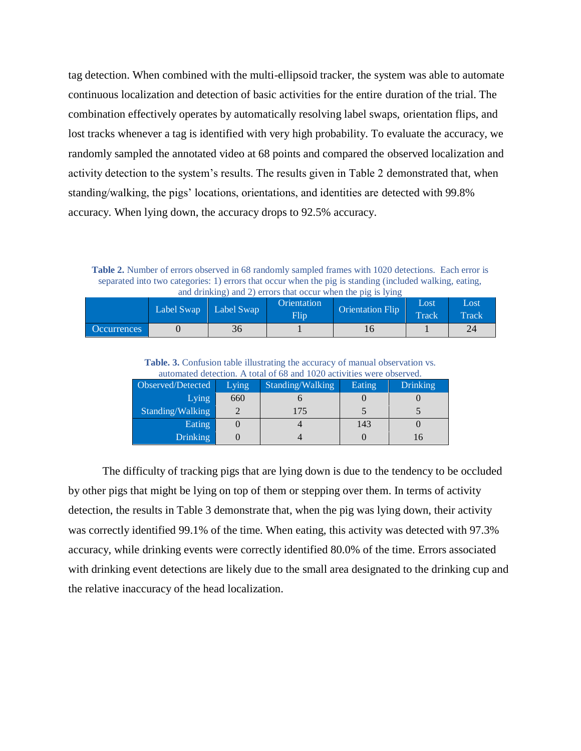tag detection. When combined with the multi-ellipsoid tracker, the system was able to automate continuous localization and detection of basic activities for the entire duration of the trial. The combination effectively operates by automatically resolving label swaps, orientation flips, and lost tracks whenever a tag is identified with very high probability. To evaluate the accuracy, we randomly sampled the annotated video at 68 points and compared the observed localization and activity detection to the system's results. The results given in Table 2 demonstrated that, when standing/walking, the pigs' locations, orientations, and identities are detected with 99.8% accuracy. When lying down, the accuracy drops to 92.5% accuracy.

**Table 2.** Number of errors observed in 68 randomly sampled frames with 1020 detections. Each error is separated into two categories: 1) errors that occur when the pig is standing (included walking, eating, and drinking) and 2) errors that occur when the pig is lying

|                    | Label Swap   Label Swap |    | Orientation<br>Flip | <b>Orientation Flip</b> | Lost<br><b>Track</b> | Lost<br>Track |
|--------------------|-------------------------|----|---------------------|-------------------------|----------------------|---------------|
| <b>Occurrences</b> |                         | 36 |                     | ΙU                      |                      | 24            |

**Table. 3.** Confusion table illustrating the accuracy of manual observation vs. automated detection. A total of 68 and 1020 activities were observed.

| Observed/Detected | Lying | Standing/Walking | Eating | <b>Drinking</b> |
|-------------------|-------|------------------|--------|-----------------|
| Lying             | 660   |                  |        |                 |
| Standing/Walking  |       | 175              |        |                 |
| Eating            |       |                  | 143    |                 |
| <b>Drinking</b>   |       |                  |        |                 |

The difficulty of tracking pigs that are lying down is due to the tendency to be occluded by other pigs that might be lying on top of them or stepping over them. In terms of activity detection, the results in Table 3 demonstrate that, when the pig was lying down, their activity was correctly identified 99.1% of the time. When eating, this activity was detected with 97.3% accuracy, while drinking events were correctly identified 80.0% of the time. Errors associated with drinking event detections are likely due to the small area designated to the drinking cup and the relative inaccuracy of the head localization.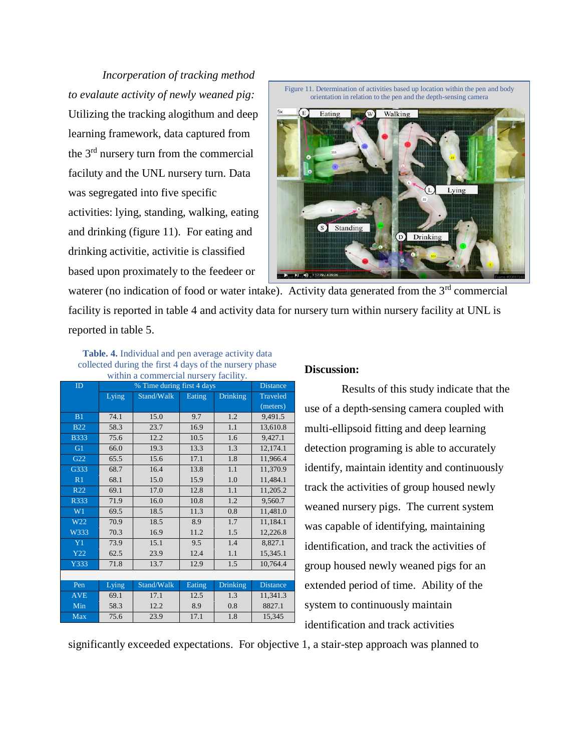*Incorperation of tracking method to evalaute activity of newly weaned pig:*  Utilizing the tracking alogithum and deep learning framework, data captured from the 3<sup>rd</sup> nursery turn from the commercial faciluty and the UNL nursery turn. Data was segregated into five specific activities: lying, standing, walking, eating and drinking (figure 11). For eating and drinking activitie, activitie is classified based upon proximately to the feedeer or



waterer (no indication of food or water intake). Activity data generated from the 3<sup>rd</sup> commercial facility is reported in table 4 and activity data for nursery turn within nursery facility at UNL is reported in table 5.

**Table. 4.** Individual and pen average activity data collected during the first 4 days of the nursery phase within a commercial nursery facility.

| $m$ and $n$ commencing mander $\gamma$ and $\gamma$ .<br>% Time during first 4 days |       |                 |        |                 |                 |  |
|-------------------------------------------------------------------------------------|-------|-----------------|--------|-----------------|-----------------|--|
| ID                                                                                  |       | <b>Distance</b> |        |                 |                 |  |
|                                                                                     | Lying | Stand/Walk      | Eating | <b>Drinking</b> | <b>Traveled</b> |  |
|                                                                                     |       |                 |        |                 | (meters)        |  |
| B1                                                                                  | 74.1  | 15.0            | 9.7    | 1.2             | 9,491.5         |  |
| <b>B22</b>                                                                          | 58.3  | 23.7            | 16.9   | 1.1             | 13,610.8        |  |
| <b>B333</b>                                                                         | 75.6  | 12.2            | 10.5   | 1.6             | 9,427.1         |  |
| G1                                                                                  | 66.0  | 19.3            | 13.3   | 1.3             | 12,174.1        |  |
| G22                                                                                 | 65.5  | 15.6            | 17.1   | 1.8             | 11,966.4        |  |
| G333                                                                                | 68.7  | 16.4            | 13.8   | 1.1             | 11,370.9        |  |
| R1                                                                                  | 68.1  | 15.0            | 15.9   | 1.0             | 11,484.1        |  |
| R <sub>22</sub>                                                                     | 69.1  | 17.0            | 12.8   | 1.1             | 11,205.2        |  |
| R333                                                                                | 71.9  | 16.0            | 10.8   | 1.2             | 9,560.7         |  |
| W1                                                                                  | 69.5  | 18.5            | 11.3   | 0.8             | 11,481.0        |  |
| W22                                                                                 | 70.9  | 18.5            | 8.9    | 1.7             | 11,184.1        |  |
| W333                                                                                | 70.3  | 16.9            | 11.2   | 1.5             | 12,226.8        |  |
| Y <sub>1</sub>                                                                      | 73.9  | 15.1            | 9.5    | 1.4             | 8,827.1         |  |
| Y22                                                                                 | 62.5  | 23.9            | 12.4   | 1.1             | 15,345.1        |  |
| Y333                                                                                | 71.8  | 13.7            | 12.9   | 1.5             | 10,764.4        |  |
|                                                                                     |       |                 |        |                 |                 |  |
| Pen                                                                                 | Lying | Stand/Walk      | Eating | <b>Drinking</b> | <b>Distance</b> |  |
| <b>AVE</b>                                                                          | 69.1  | 17.1            | 12.5   | 1.3             | 11,341.3        |  |
| Min                                                                                 | 58.3  | 12.2            | 8.9    | 0.8             | 8827.1          |  |
| <b>Max</b>                                                                          | 75.6  | 23.9            | 17.1   | 1.8             | 15,345          |  |
|                                                                                     |       |                 |        |                 |                 |  |

#### **Discussion:**

Results of this study indicate that the use of a depth-sensing camera coupled with multi-ellipsoid fitting and deep learning detection programing is able to accurately identify, maintain identity and continuously track the activities of group housed newly weaned nursery pigs. The current system was capable of identifying, maintaining identification, and track the activities of group housed newly weaned pigs for an extended period of time. Ability of the system to continuously maintain identification and track activities

significantly exceeded expectations. For objective 1, a stair-step approach was planned to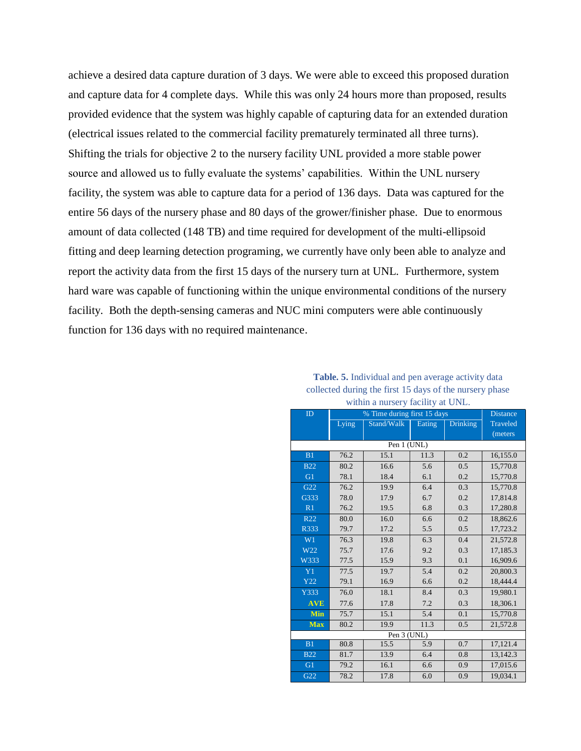achieve a desired data capture duration of 3 days. We were able to exceed this proposed duration and capture data for 4 complete days. While this was only 24 hours more than proposed, results provided evidence that the system was highly capable of capturing data for an extended duration (electrical issues related to the commercial facility prematurely terminated all three turns). Shifting the trials for objective 2 to the nursery facility UNL provided a more stable power source and allowed us to fully evaluate the systems' capabilities. Within the UNL nursery facility, the system was able to capture data for a period of 136 days. Data was captured for the entire 56 days of the nursery phase and 80 days of the grower/finisher phase. Due to enormous amount of data collected (148 TB) and time required for development of the multi-ellipsoid fitting and deep learning detection programing, we currently have only been able to analyze and report the activity data from the first 15 days of the nursery turn at UNL. Furthermore, system hard ware was capable of functioning within the unique environmental conditions of the nursery facility. Both the depth-sensing cameras and NUC mini computers were able continuously function for 136 days with no required maintenance.

| % Time during first 15 days |             |                      |      |          |                 |  |  |  |
|-----------------------------|-------------|----------------------|------|----------|-----------------|--|--|--|
| ID                          |             | <b>Distance</b>      |      |          |                 |  |  |  |
|                             | Lying       | Stand/Walk<br>Eating |      | Drinking | <b>Traveled</b> |  |  |  |
|                             |             |                      |      |          | (meters)        |  |  |  |
|                             | Pen 1 (UNL) |                      |      |          |                 |  |  |  |
| B1                          | 76.2        | 15.1                 | 11.3 | 0.2      | 16,155.0        |  |  |  |
| <b>B22</b>                  | 80.2        | 16.6                 | 5.6  | 0.5      | 15,770.8        |  |  |  |
| G1                          | 78.1        | 18.4                 | 6.1  | 0.2      | 15,770.8        |  |  |  |
| G22                         | 76.2        | 19.9                 | 6.4  | 0.3      | 15,770.8        |  |  |  |
| G333                        | 78.0        | 17.9                 | 6.7  | 0.2      | 17,814.8        |  |  |  |
| R1                          | 76.2        | 19.5                 | 6.8  | 0.3      | 17,280.8        |  |  |  |
| R22                         | 80.0        | 16.0                 | 6.6  | 0.2      | 18,862.6        |  |  |  |
| R333                        | 79.7        | 17.2                 | 5.5  | 0.5      | 17,723.2        |  |  |  |
| W1                          | 76.3        | 19.8                 | 6.3  | 0.4      | 21,572.8        |  |  |  |
| W22                         | 75.7        | 17.6                 | 9.2  | 0.3      | 17,185.3        |  |  |  |
| W333                        | 77.5        | 15.9                 | 9.3  | 0.1      | 16,909.6        |  |  |  |
| Y1                          | 77.5        | 19.7                 | 5.4  | 0.2      | 20,800.3        |  |  |  |
| Y22                         | 79.1        | 16.9                 | 6.6  | 0.2      | 18,444.4        |  |  |  |
| Y333                        | 76.0        | 18.1                 | 8.4  | 0.3      | 19,980.1        |  |  |  |
| <b>AVE</b>                  | 77.6        | 17.8                 | 7.2  | 0.3      | 18,306.1        |  |  |  |
| Min                         | 75.7        | 15.1                 | 5.4  | 0.1      | 15,770.8        |  |  |  |
| <b>Max</b>                  | 80.2        | 19.9                 | 11.3 | 0.5      | 21,572.8        |  |  |  |
| Pen 3 (UNL)                 |             |                      |      |          |                 |  |  |  |
| B1                          | 80.8        | 15.5                 | 5.9  | 0.7      | 17,121.4        |  |  |  |
| <b>B22</b>                  | 81.7        | 13.9                 | 6.4  | 0.8      | 13,142.3        |  |  |  |
| G1                          | 79.2        | 16.1                 | 6.6  | 0.9      | 17,015.6        |  |  |  |
| G22                         | 78.2        | 17.8                 | 6.0  | 0.9      | 19,034.1        |  |  |  |

**Table. 5.** Individual and pen average activity data collected during the first 15 days of the nursery phase within a nursery facility at UNI.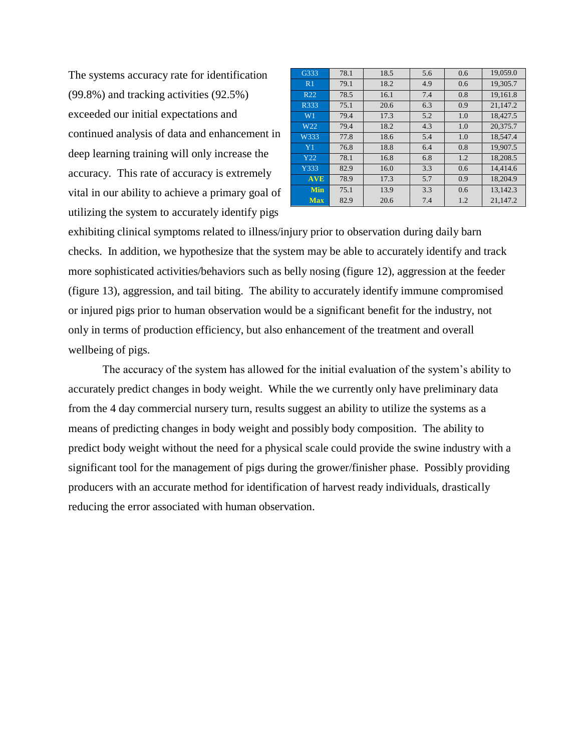The systems accuracy rate for identification (99.8%) and tracking activities (92.5%) exceeded our initial expectations and continued analysis of data and enhancement in deep learning training will only increase the accuracy. This rate of accuracy is extremely vital in our ability to achieve a primary goal of utilizing the system to accurately identify pigs

| G333            | 78.1 | 18.5 | 5.6 | 0.6 | 19,059.0 |
|-----------------|------|------|-----|-----|----------|
| R <sub>1</sub>  | 79.1 | 18.2 | 4.9 | 0.6 | 19,305.7 |
| R <sub>22</sub> | 78.5 | 16.1 | 7.4 | 0.8 | 19.161.8 |
| R333            | 75.1 | 20.6 | 6.3 | 0.9 | 21.147.2 |
| W <sub>1</sub>  | 79.4 | 17.3 | 5.2 | 1.0 | 18,427.5 |
| W <sub>22</sub> | 79.4 | 18.2 | 4.3 | 1.0 | 20,375.7 |
| W333            | 77.8 | 18.6 | 5.4 | 1.0 | 18,547.4 |
| Y <sub>1</sub>  | 76.8 | 18.8 | 6.4 | 0.8 | 19.907.5 |
| Y22             | 78.1 | 16.8 | 6.8 | 1.2 | 18,208.5 |
| Y333            | 82.9 | 16.0 | 3.3 | 0.6 | 14.414.6 |
| <b>AVE</b>      | 78.9 | 17.3 | 5.7 | 0.9 | 18,204.9 |
| Min             | 75.1 | 13.9 | 3.3 | 0.6 | 13.142.3 |
| <b>Max</b>      | 82.9 | 20.6 | 7.4 | 1.2 | 21,147.2 |

exhibiting clinical symptoms related to illness/injury prior to observation during daily barn checks. In addition, we hypothesize that the system may be able to accurately identify and track more sophisticated activities/behaviors such as belly nosing (figure 12), aggression at the feeder (figure 13), aggression, and tail biting. The ability to accurately identify immune compromised or injured pigs prior to human observation would be a significant benefit for the industry, not only in terms of production efficiency, but also enhancement of the treatment and overall wellbeing of pigs.

The accuracy of the system has allowed for the initial evaluation of the system's ability to accurately predict changes in body weight. While the we currently only have preliminary data from the 4 day commercial nursery turn, results suggest an ability to utilize the systems as a means of predicting changes in body weight and possibly body composition. The ability to predict body weight without the need for a physical scale could provide the swine industry with a significant tool for the management of pigs during the grower/finisher phase. Possibly providing producers with an accurate method for identification of harvest ready individuals, drastically reducing the error associated with human observation.